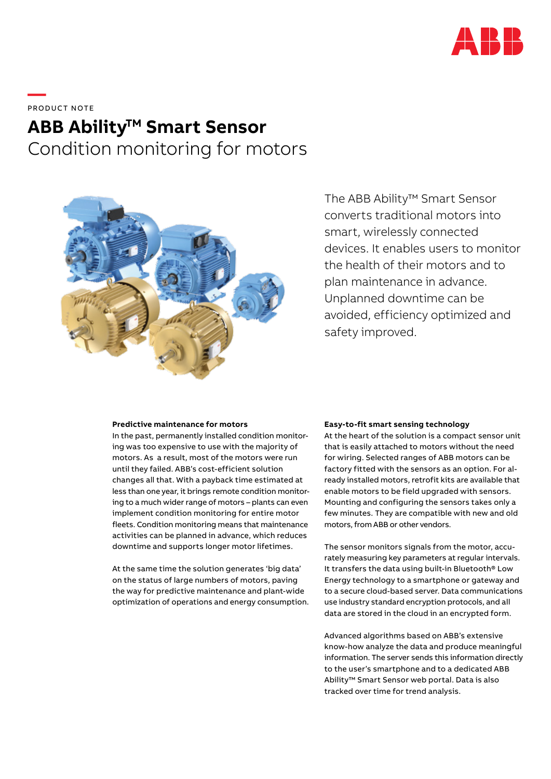

**—**  PRODUCT NOTE

# **ABB Ability<sup>™</sup> Smart Sensor** Condition monitoring for motors



The ABB Ability™ Smart Sensor converts traditional motors into smart, wirelessly connected devices. It enables users to monitor the health of their motors and to plan maintenance in advance. Unplanned downtime can be avoided, efficiency optimized and safety improved.

## **Predictive maintenance for motors**

In the past, permanently installed condition monitoring was too expensive to use with the majority of motors. As a result, most of the motors were run until they failed. ABB's cost-efficient solution changes all that. With a payback time estimated at less than one year, it brings remote condition monitoring to a much wider range of motors – plants can even implement condition monitoring for entire motor fleets. Condition monitoring means that maintenance activities can be planned in advance, which reduces downtime and supports longer motor lifetimes.

At the same time the solution generates 'big data' on the status of large numbers of motors, paving the way for predictive maintenance and plant-wide optimization of operations and energy consumption.

#### **Easy-to-fit smart sensing technology**

At the heart of the solution is a compact sensor unit that is easily attached to motors without the need for wiring. Selected ranges of ABB motors can be factory fitted with the sensors as an option. For already installed motors, retrofit kits are available that enable motors to be field upgraded with sensors. Mounting and configuring the sensors takes only a few minutes. They are compatible with new and old motors, from ABB or other vendors.

The sensor monitors signals from the motor, accurately measuring key parameters at regular intervals. It transfers the data using built-in Bluetooth® Low Energy technology to a smartphone or gateway and to a secure cloud-based server. Data communications use industry standard encryption protocols, and all data are stored in the cloud in an encrypted form.

Advanced algorithms based on ABB's extensive know-how analyze the data and produce meaningful information. The server sends this information directly to the user's smartphone and to a dedicated ABB Ability™ Smart Sensor web portal. Data is also tracked over time for trend analysis.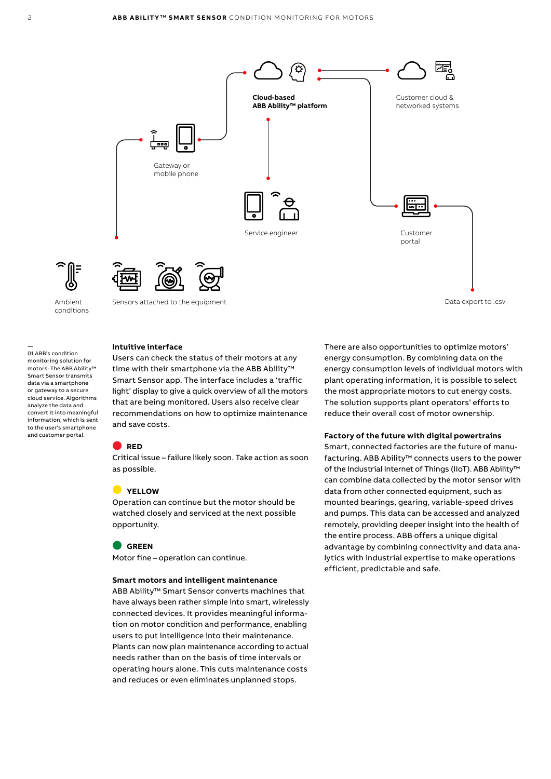

Data export to .csv

#### **Intuitive interface**

Ambient conditions

—

01 ABB's condition monitoring solution for motors: The ABB Ability™ Smart Sensor transmits data via a smartphone or gateway to a secure cloud service. Algorithms analyze the data and convert it into meaningful information, which is sent to the user's smartphone and customer portal.

Users can check the status of their motors at any time with their smartphone via the ABB Ability<sup>™</sup> Smart Sensor app. The interface includes a 'traffic light' display to give a quick overview of all the motors that are being monitored. Users also receive clear recommendations on how to optimize maintenance and save costs.

#### **RED**

Critical issue – failure likely soon. Take action as soon as possible.

### **YELLOW**

Operation can continue but the motor should be watched closely and serviced at the next possible opportunity.

#### **GREEN**

Motor fine – operation can continue.

#### **Smart motors and intelligent maintenance**

ABB Ability™ Smart Sensor converts machines that have always been rather simple into smart, wirelessly connected devices. It provides meaningful information on motor condition and performance, enabling users to put intelligence into their maintenance. Plants can now plan maintenance according to actual needs rather than on the basis of time intervals or operating hours alone. This cuts maintenance costs and reduces or even eliminates unplanned stops.

There are also opportunities to optimize motors' energy consumption. By combining data on the energy consumption levels of individual motors with plant operating information, it is possible to select the most appropriate motors to cut energy costs. The solution supports plant operators' efforts to reduce their overall cost of motor ownership.

#### **Factory of the future with digital powertrains**

Smart, connected factories are the future of manufacturing. ABB Ability™ connects users to the power of the Industrial Internet of Things (IIoT). ABB Ability™ can combine data collected by the motor sensor with data from other connected equipment, such as mounted bearings, gearing, variable-speed drives and pumps. This data can be accessed and analyzed remotely, providing deeper insight into the health of the entire process. ABB offers a unique digital advantage by combining connectivity and data analytics with industrial expertise to make operations efficient, predictable and safe.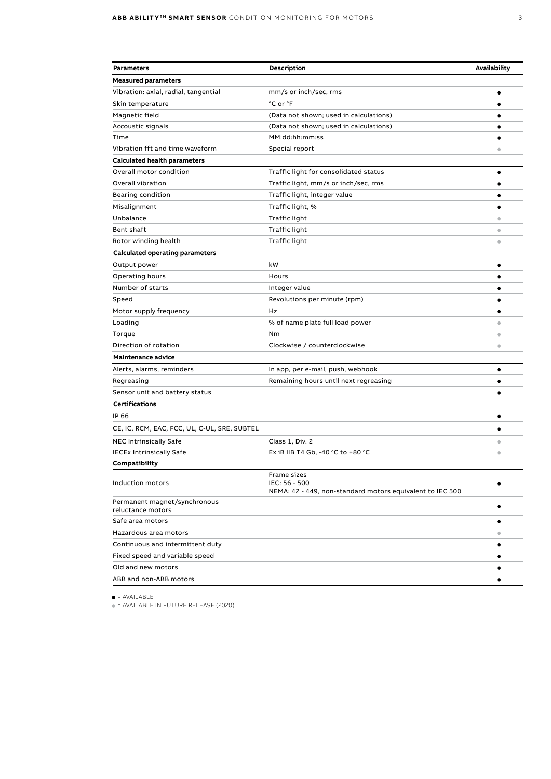| <b>Parameters</b>                                 | Description                                                                               | Availability            |
|---------------------------------------------------|-------------------------------------------------------------------------------------------|-------------------------|
| <b>Measured parameters</b>                        |                                                                                           |                         |
| Vibration: axial, radial, tangential              | mm/s or inch/sec, rms                                                                     | ٠                       |
| Skin temperature                                  | °C or °F                                                                                  | ٠                       |
| Magnetic field                                    | (Data not shown; used in calculations)                                                    | ٠                       |
| Accoustic signals                                 | (Data not shown; used in calculations)                                                    |                         |
| Time                                              | MM:dd:hh:mm:ss                                                                            | ٠                       |
| Vibration fft and time waveform                   | Special report                                                                            | ۰                       |
| <b>Calculated health parameters</b>               |                                                                                           |                         |
| Overall motor condition                           | Traffic light for consolidated status                                                     | $\bullet$               |
| Overall vibration                                 | Traffic light, mm/s or inch/sec, rms                                                      | ٠                       |
| Bearing condition                                 | Traffic light, integer value                                                              | ٠                       |
| Misalignment                                      | Traffic light, %                                                                          | $\bullet$               |
| Unbalance                                         | Traffic light                                                                             | $\bullet$               |
| Bent shaft                                        | Traffic light                                                                             | $\bullet$               |
| Rotor winding health                              | Traffic light                                                                             | $\qquad \qquad \bullet$ |
| <b>Calculated operating parameters</b>            |                                                                                           |                         |
| Output power                                      | kW                                                                                        | ٠                       |
| Operating hours                                   | Hours                                                                                     |                         |
| Number of starts                                  | Integer value                                                                             |                         |
| Speed                                             | Revolutions per minute (rpm)                                                              |                         |
| Motor supply frequency                            | Hz                                                                                        | ٠                       |
| Loading                                           | % of name plate full load power                                                           | $\bullet$               |
| Torque                                            | Nm                                                                                        | $\bullet$               |
| Direction of rotation                             | Clockwise / counterclockwise                                                              | $\qquad \qquad \bullet$ |
| Maintenance advice                                |                                                                                           |                         |
| Alerts, alarms, reminders                         | In app, per e-mail, push, webhook                                                         | ٠                       |
| Regreasing                                        | Remaining hours until next regreasing                                                     | $\bullet$               |
| Sensor unit and battery status                    |                                                                                           | $\bullet$               |
| <b>Certifications</b>                             |                                                                                           |                         |
| IP 66                                             |                                                                                           | ٠                       |
| CE, IC, RCM, EAC, FCC, UL, C-UL, SRE, SUBTEL      |                                                                                           |                         |
| <b>NEC Intrinsically Safe</b>                     | Class 1, Div. 2                                                                           | $\bullet$               |
| <b>IECEx Intrinsically Safe</b>                   | Ex iB IIB T4 Gb, -40 $\degree$ C to +80 $\degree$ C                                       | $\bullet$               |
| Compatibility                                     |                                                                                           |                         |
| Induction motors                                  | Frame sizes<br>IEC: 56 - 500<br>NEMA: 42 - 449, non-standard motors equivalent to IEC 500 |                         |
| Permanent magnet/synchronous<br>reluctance motors |                                                                                           | ٠                       |
| Safe area motors                                  |                                                                                           | ٠                       |
| Hazardous area motors                             |                                                                                           | $\qquad \qquad \bullet$ |
| Continuous and intermittent duty                  |                                                                                           | ٠                       |
| Fixed speed and variable speed                    |                                                                                           | ٠                       |
| Old and new motors                                |                                                                                           | ٠                       |
| ABB and non-ABB motors                            |                                                                                           |                         |

 $\bullet$  = AVAILABLE

• = AVAILABLE IN FUTURE RELEASE (2020)